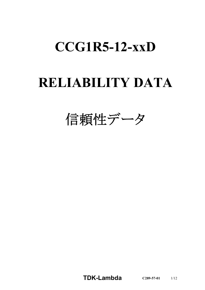# **CCG1R5-12-xxD**

# **RELIABILITY DATA**

信頼性データ

**TDK-Lambda C289-57-01** 1/12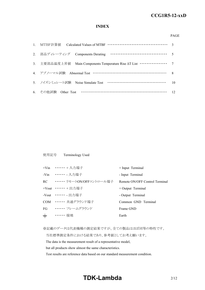#### *RWS 50B-600B Series* **CCG1R5-12-xxD**

# **INDEX**

#### PAGE

| 3. 主要部品温度上昇值 Main Components Temperature Rise AT List ················ 7 |    |
|--------------------------------------------------------------------------|----|
| 4. アブノーマル試験 Abnormal Test …………………………………………………… 8                         |    |
| 5. ノイズシミュレート試験 Noise Simulate Test ……………………………………                        | 10 |
| 6. その他試験 Other Test ……………………………………………………… 12                             |    |

### 使用記号 Terminology Used

|       | +Vin …… + 入力端子                 | + Input Terminal               |
|-------|--------------------------------|--------------------------------|
|       | -Vin …… 入力端子                   | - Input Terminal               |
|       | RC •・・・・・・・ リモートON/OFFコントロール端子 | Remote ON/OFF Control Terminal |
|       | +Vout …… + 出力端子                | $+$ Output Terminal            |
|       | -Vout ・・・・・・ - 出力端子            | - Output Terminal              |
|       | COM …… 共通グラウンド端子               | Common GND Terminal            |
|       | FG ······ フレームグラウンド            | Frame GND                      |
| $\pm$ | ・・・・・・ 接地                      | Earth                          |

※記載のデータは代表機種の測定結果ですが、全ての製品はほぼ同等の特性です。

当社標準測定条件における結果であり、参考値としてお考え願います。

The data is the measurement result of a representative model,

but all products show almost the same characteristics.

Test results are reference data based on our standard measurement condition.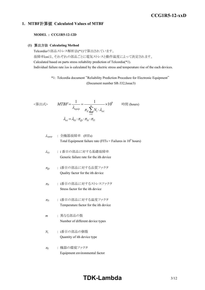# *RWS 50B-600B Series* **CCG1R5-12-xxD**

# **1. MTBF**計算値 **Calculated Values of MTBF**

### **MODEL : CCG1R5-12-12D**

### **(1)** 算出方法 **Calculating Method**

Telcordiaの部品ストレス解析法(\*1)で算出されています。 故障率λssは、それぞれの部品ごとに電気ストレスと動作温度によって決定されます。 Calculated based on parts stress reliability prediction of Telcordia(\*1). Individual failure rate λss is calculated by the electric stress and temperature rise of the each devices.

> \*1: Telcordia document "Reliability Prediction Procedure for Electronic Equipment" (Document number SR-332,Issue3)

$$
\langle \hat{\mathbf{g}} | \mathbf{H} \mathbf{x} \rangle \qquad MTBF = \frac{1}{\lambda_{equip}} = \frac{1}{\pi_E \sum_{i=1}^{m} N_i \cdot \lambda_{ssi}} \times 10^9 \qquad \text{iff } (\text{hours})
$$
\n
$$
\lambda_{ssi} = \lambda_{Gi} \cdot \pi_{Qi} \cdot \pi_{Si} \cdot \pi_{Ti}
$$

<sup>l</sup>*equip* : 全機器故障率 (FITs) Total Equipment failure rate (FITs = Failures in 10<sup>9</sup> hours)

$$
λ_{Gi}
$$
 : i 番目の部品に対する基礎故օ率   
\n $Generic failure rate for the ith device$ 

- <sup>p</sup>*Qi* : i番目の部品に対する品質ファクタ Quality factor for the ith device
- <sup>p</sup>*Si* : i番目の部品に対するストレスファクタ Stress factor for the ith device
- <sup>p</sup>*Ti* : i番目の部品に対する温度ファクタ Temperature factor for the ith device
- *m* : 異なる部品の数 Number of different device types
- *Ni* : i番目の部品の個数 Quantity of ith device type
- <sup>p</sup>*<sup>E</sup>* : 機器の環境ファクタ Equipment environmental factor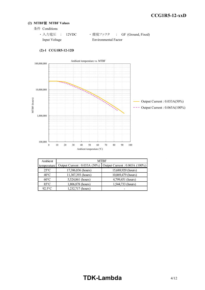# **(2) MTBF**値 **MTBF Values**

- 条件 Conditions
	- · 入力電圧 : 12VDC ·環境ファクタ : GF (Ground, Fixed) Input Voltage Environmental Factor



# **(2)-1 CCG1R5-12-12D**

| Ambient        |                              | <b>MTBF</b>                    |  |  |  |  |
|----------------|------------------------------|--------------------------------|--|--|--|--|
| temperature    | Output Current: 0.033A (50%) | Output Current : 0.065A (100%) |  |  |  |  |
| $25^{\circ}$ C | 17,386,836 (hours)           | 15,688,920 (hours)             |  |  |  |  |
| $40^{\circ}$ C | 11,307,393 (hours)           | 10,069,479 (hours)             |  |  |  |  |
| $60^{\circ}$ C | 5,524,861 (hours)            | 4,799,451 (hours)              |  |  |  |  |
| $85^{\circ}$ C | 1,806,878 (hours)            | 1,544,733 (hours)              |  |  |  |  |
| $92.5$ °C      | 1,232,717 (hours)            |                                |  |  |  |  |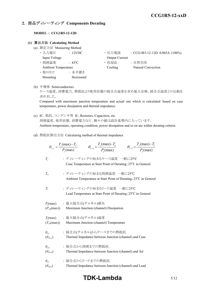# **2.** 部品ディレーティング **Components Derating**

### **MODEL : CCG1R5-12-12D**

### **(1)** 算出方法 **Calculating Method**

- (a) 測定方法 Measuring Method
	-
	-
	- ・ 取り付け : 水平置き
		- Mounting Horizontal
	- ・ 入力電圧 : 12VDC ・ 出力電流 : CCG1R5-12-12D 0.065A (100%) Input Voltage **Output Current**
	- 周囲温度 : 85°C · 哈却法 : 自然空冷 Ambient Temperature Cooling Natural Convection
- (b) 半導体 Semiconductors

ケース温度、消費電力、熱抵抗より使用状態の接合点温度を求め最大定格、接合点温度との比較を 求めました。

Compared with maximum junction temperature and actual one which is calculated based on case temperature, power dissipation and thermal impedance.

- (c) IC、抵抗、コンデンサ等 IC, Resistors, Capacitors, etc. 周囲温度、使用状態、消費電力など、個々の値は設計基準内に入っています。 Ambient temperature, operating condition, power dissipation and so on are within derating criteria.
- (d) 熱抵抗算出方法 Calculating method of thermal impedance

|                                     | $\theta_{j-c} = \frac{T_j(\text{max}) - T_c}{P_j(\text{max})}$ $\theta_{j-a} = \frac{T_j(\text{max}) - T_a}{P_j(\text{max})}$<br>$\theta_{j-l} = \frac{T_j(\text{max}) - T_l}{P_j(\text{max})}$ |  |
|-------------------------------------|-------------------------------------------------------------------------------------------------------------------------------------------------------------------------------------------------|--|
| $T_c$                               | : ディレーティングの始まるケース温度 一般に25°C<br>Case Temperature at Start Point of Derating; 25°C in General                                                                                                     |  |
| $T_a$                               | : ディレーティングの始まる周囲温度 一般に25℃<br>Ambient Temperature at Start Point of Derating; 25°C in General                                                                                                    |  |
| $T_I$                               | : ディレーティングの始まるリード温度 一般に25℃<br>Lead Temperature at Start Point of Derating; 25°C in General                                                                                                      |  |
| $(P_{ch}(\text{max}))$              | $P_i$ (max) : 最大接合点(チャネル)損失<br>Maximum Junction (channel) Dissipation                                                                                                                           |  |
| $(T_{ch}(\text{max}))$              | $T_j$ (max) : 最大接合点(チャネル)温度<br>Maximum Junction (channel) Temperature                                                                                                                           |  |
| $\theta_{j-c}$<br>$(\theta_{ch-c})$ | : 接合点(チャネル)からケースまでの熱抵抗<br>Thermal Impedance between Junction (channel) and Case                                                                                                                 |  |
| $\theta_{i-a}$<br>$(\theta_{ch-a})$ | : 接合点から周囲までの熱抵抗<br>Thermal Impedance between Junction (channel) and Air                                                                                                                         |  |
| $\theta_{i-l}$<br>$(\theta_{ch-l})$ | : 接合点からリードまでの熱抵抗<br>Thermal Impedance between Junction (channel) and Lead                                                                                                                       |  |

# **TDK-Lambda** 5/12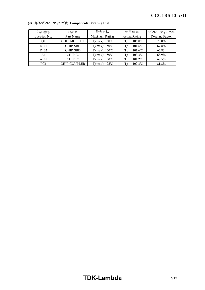| 部品番号             | 部品名                 | 最大定格                     | 使用状態                          | ディレーティング率       |
|------------------|---------------------|--------------------------|-------------------------------|-----------------|
| Location No.     | Part Name           | Maximum Rating           | <b>Actual Rating</b>          | Derating Factor |
| O1               | <b>CHIP MOS FET</b> | Tj(max): $150^{\circ}$ C | 105.0°C<br>Ti:                | 70.0%           |
| D <sub>101</sub> | <b>CHIP SBD</b>     | Tj(max): $150^{\circ}$ C | $101.6$ °C<br>Ti:             | 67.8%           |
| D <sub>102</sub> | <b>CHIP SBD</b>     | $Tj(max)$ : 150 °C       | $101.6$ °C<br>Ti:             | 67.8%           |
| A1               | CHIP IC             | $Tj(max)$ : 150 °C       | $103.3$ <sup>o</sup> C<br>Ti: | 68.9%           |
| A101             | CHIP IC             | $Tj(max)$ : 150 °C       | $101.2$ <sup>o</sup> C<br>Ti: | 67.5%           |
| PC1              | <b>CHIP COUPLER</b> | Tj(max): $125^{\circ}$ C | 102.3°C<br>Ti:                | 81.8%           |

# **(2)** 部品ディレーティング表 **Components Derating List**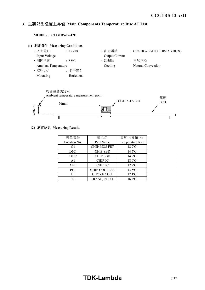#### *INSTRUCTION MANUAL* **3.** 主要部品温度上昇値 **Main Components Temperature Rise ΔT List**

**MODEL : CCG1R5-12-12D**





### **(2)** 測定結果 **Measuring Results**

| 部品番号              | 部品名                 | 温度上昇值 ΔT              |  |  |
|-------------------|---------------------|-----------------------|--|--|
| Location No.      | Part Name           | Temperature Rise      |  |  |
| Q1                | <b>CHIP MOS FET</b> | 18.9°C                |  |  |
| D <sub>10</sub> 1 | <b>CHIP SBD</b>     | $14.7$ <sup>o</sup> C |  |  |
| D <sub>102</sub>  | <b>CHIP SBD</b>     | 14.9°C                |  |  |
| A <sub>1</sub>    | <b>CHIP IC</b>      | 18.0°C                |  |  |
| A101              | <b>CHIP IC</b>      | $12.7^{\circ}$ C      |  |  |
| PC1               | <b>CHIP COUPLER</b> | $13.5$ °C             |  |  |
| L1                | <b>CHOKE COIL</b>   | $12.1^{\circ}$ C      |  |  |
| Τ1                | TRANS, PULSE        | $16.4$ °C             |  |  |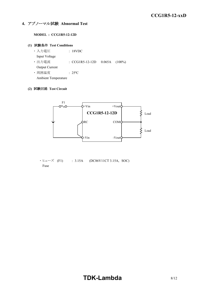# **4.** アブノーマル試験 **Abnormal Test**

## **MODEL : CCG1R5-12-12D**

## **(1)** 試験条件 **Test Conditions**

**・入力電圧 | 18VDC**  Input Voltage ・ 出力電流 : CCG1R5-12-12D 0.065A (100%) Output Current ・ 周囲温度 : 25ºC

Ambient Temperature

# **(2)** 試験回路 **Test Circuit**



 $\cdot$  E $\pm$  - $\vec{X}$  (F1) : 3.15A (DC86V11CT 3.15A, SOC) Fuse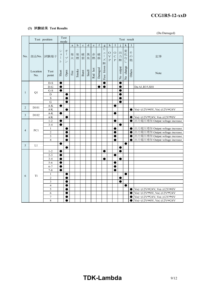#### *RWS 50B-600B Series* **CCG1R5-12-xxD**

# **(3)** 試験結果 **Test Results**

(Da:Damaged)

|                | Test position     |                                | mode                                                        | Test                                                                               | Test result |             |             |             |                                                                                |             |                                                                               |                                                  |                                               |                                   |                                   |                     |                                                                                                                         |
|----------------|-------------------|--------------------------------|-------------------------------------------------------------|------------------------------------------------------------------------------------|-------------|-------------|-------------|-------------|--------------------------------------------------------------------------------|-------------|-------------------------------------------------------------------------------|--------------------------------------------------|-----------------------------------------------|-----------------------------------|-----------------------------------|---------------------|-------------------------------------------------------------------------------------------------------------------------|
| No.            |                   |                                |                                                             |                                                                                    | a           | $\mathbf b$ | $\mathbf c$ | $\mathbf d$ | $\mathbf{e}% _{B}=\mathbf{e}_{B}+\mathbf{e}_{B}+\mathbf{e}_{B}+\mathbf{e}_{B}$ | $\mathbf f$ | $\mathbf{g}$                                                                  | h                                                | I                                             |                                   | $\mathbf k$                       | 1                   |                                                                                                                         |
|                |                   | 部品No. 試験端子                     | $\ddot{\checkmark}$<br>$\equiv$<br>$\mathbf{I}$<br>$\vdash$ | 才<br>$\overline{\phantom{a}}$<br>$\mathcal{I}^{\circ}$<br>$\overline{\phantom{a}}$ | 発<br>火      | 発煙          | 破<br>裂      | 異<br>臭      | 赤<br>熱                                                                         | 破<br>損      | ヒ<br>$\mathfrak{\text{I}}$<br>$\begin{array}{c} \hline \end{array}$<br>ズ<br>断 | $\bigcirc$<br>$\bar{\mathbf{V}}$<br>$\mathsf{P}$ | $\mathcal O$<br>$\mathbf C$<br>$\overline{P}$ | 出<br>力<br>断                       | 変化<br>$\vec{z}$<br>$\overline{L}$ | そ<br>$\varphi$<br>他 | 記事                                                                                                                      |
|                | Location<br>No.   | Test<br>point                  | Short                                                       | Open                                                                               | Fire        | Smoke       | Burst       | Smell       | Red hot                                                                        | Damaged     | blown<br>Fuse                                                                 |                                                  |                                               | output<br>$\overline{\mathsf{X}}$ | No change                         | Others              | Note                                                                                                                    |
|                |                   | $D-S$                          | 0                                                           |                                                                                    |             |             |             |             |                                                                                |             | $\bullet$                                                                     |                                                  |                                               | $\bullet$                         |                                   |                     |                                                                                                                         |
|                |                   | $D-G$                          | $\bullet$                                                   |                                                                                    |             |             |             |             |                                                                                |             | $\bullet$                                                                     |                                                  |                                               | e                                 |                                   |                     | Da:A1,R35,SH1                                                                                                           |
| $\mathbf{1}$   | Q1                | $G-S$                          | $\bullet$                                                   |                                                                                    |             |             |             |             |                                                                                |             |                                                                               |                                                  |                                               | 0                                 |                                   |                     |                                                                                                                         |
|                |                   | D                              |                                                             | $\bullet$                                                                          |             |             |             |             |                                                                                |             |                                                                               |                                                  |                                               | 0                                 |                                   |                     |                                                                                                                         |
|                |                   | $\mathbf S$<br>G               |                                                             | $\bullet$                                                                          |             |             |             |             |                                                                                |             |                                                                               |                                                  |                                               | O                                 |                                   |                     |                                                                                                                         |
|                |                   | $\mathbf{A}\text{-}\mathbf{K}$ | $\bullet$                                                   |                                                                                    |             |             |             |             |                                                                                |             |                                                                               |                                                  | ●                                             | $\bullet$                         |                                   |                     |                                                                                                                         |
| 2              | D <sub>10</sub> 1 | A/K                            |                                                             | C                                                                                  |             |             |             |             |                                                                                |             |                                                                               |                                                  |                                               |                                   |                                   | e                   | $\operatorname{Vo}(+)12\mathrm{V}\rightarrow 0\mathrm{V}, \operatorname{Vo}(\cdot)12\mathrm{V}\rightarrow 24\mathrm{V}$ |
|                |                   | $\mathbf{A}\text{-}\mathbf{K}$ | $\bullet$                                                   |                                                                                    |             |             |             |             |                                                                                |             |                                                                               |                                                  | ●                                             |                                   |                                   |                     |                                                                                                                         |
| 3              | D <sub>102</sub>  | $\mathbf{A} / \mathbf{K}$      |                                                             | $\bullet$                                                                          |             |             |             |             |                                                                                |             |                                                                               |                                                  |                                               |                                   |                                   | $\bullet$           | $\text{Vo}(+)12\text{V}\rightarrow 24\text{V}, \text{Vo}(-)12\text{V}\rightarrow 0\text{V}$                             |
|                |                   | $1 - 2$                        | $\bullet$                                                   |                                                                                    |             |             |             |             |                                                                                |             |                                                                               |                                                  | ●                                             |                                   |                                   | 0                   | 出力電圧増加 Output voltage increase                                                                                          |
|                |                   | $3 - 4$                        | $\bullet$                                                   |                                                                                    |             |             |             |             |                                                                                |             |                                                                               |                                                  |                                               | $\bullet$                         |                                   |                     |                                                                                                                         |
| $\overline{4}$ |                   | $\mathbf{1}$                   |                                                             | $\bullet$                                                                          |             |             |             |             |                                                                                |             |                                                                               |                                                  | c                                             |                                   |                                   | $\bullet$           | 出力電圧増加 Output voltage increase                                                                                          |
|                | PC1               | $\overline{2}$                 |                                                             | $\bullet$                                                                          |             |             |             |             |                                                                                |             |                                                                               |                                                  | O                                             |                                   |                                   | $\bullet$           | 出力電圧増加 Output voltage increase                                                                                          |
|                |                   | 3                              |                                                             |                                                                                    |             |             |             |             |                                                                                |             |                                                                               |                                                  | ●                                             |                                   |                                   | $\bullet$           | 出力電圧増加 Output voltage increase                                                                                          |
|                |                   | $\overline{4}$                 |                                                             | $\bullet$                                                                          |             |             |             |             |                                                                                |             |                                                                               |                                                  | $\bullet$                                     |                                   |                                   | $\bullet$           | 出力電圧増加 Output voltage increase                                                                                          |
| 5              | L1                |                                |                                                             |                                                                                    |             |             |             |             |                                                                                |             |                                                                               |                                                  |                                               |                                   |                                   |                     |                                                                                                                         |
|                |                   |                                |                                                             |                                                                                    |             |             |             |             |                                                                                |             |                                                                               |                                                  |                                               | ●                                 |                                   |                     |                                                                                                                         |
|                |                   | $1 - 2$                        | $\bullet$                                                   |                                                                                    |             |             |             |             |                                                                                |             | $\bullet$                                                                     |                                                  |                                               | $\bullet$                         |                                   |                     |                                                                                                                         |
|                |                   | $2 - 3$                        | ●                                                           |                                                                                    |             |             |             |             |                                                                                |             |                                                                               |                                                  | ●                                             |                                   |                                   |                     |                                                                                                                         |
|                |                   | $3 - 4$<br>$5 - 6$             | ●<br>$\bullet$                                              |                                                                                    |             |             |             |             |                                                                                |             |                                                                               |                                                  | $\bullet$                                     | $\bullet$                         |                                   |                     |                                                                                                                         |
|                |                   | $6 - 7$                        | $\bullet$                                                   |                                                                                    |             |             |             |             |                                                                                |             |                                                                               |                                                  | $\bullet$                                     |                                   |                                   |                     |                                                                                                                         |
|                |                   | $7 - 8$                        | ●                                                           |                                                                                    |             |             |             |             |                                                                                |             |                                                                               |                                                  | e                                             |                                   |                                   |                     |                                                                                                                         |
|                |                   | $\mathbf{1}$                   |                                                             | $\bullet$                                                                          |             |             |             |             |                                                                                |             |                                                                               |                                                  |                                               |                                   | $\bullet$                         |                     |                                                                                                                         |
| 6              | T <sub>1</sub>    | $\sqrt{2}$                     |                                                             | $\bullet$                                                                          |             |             |             |             |                                                                                |             |                                                                               |                                                  |                                               | $\bullet$                         |                                   |                     |                                                                                                                         |
|                |                   | $\mathfrak{Z}$                 |                                                             | $\bullet$                                                                          |             |             |             |             |                                                                                |             |                                                                               |                                                  |                                               | 0                                 |                                   |                     |                                                                                                                         |
|                |                   | $\overline{4}$                 |                                                             | ●                                                                                  |             |             |             |             |                                                                                |             |                                                                               |                                                  |                                               |                                   | ●                                 |                     |                                                                                                                         |
|                |                   | 5                              |                                                             | $\bullet$                                                                          |             |             |             |             |                                                                                |             |                                                                               |                                                  |                                               |                                   |                                   | $\bullet$           | $\operatorname{Vo}(+)12\mathrm{V}\rightarrow 24\mathrm{V}, \operatorname{Vo}(\cdot)12\mathrm{V}\rightarrow 0\mathrm{V}$ |
|                |                   | 6                              |                                                             | $\bullet$                                                                          |             |             |             |             |                                                                                |             |                                                                               |                                                  |                                               |                                   |                                   | $\bullet$           | $\text{Vo}(+)12\text{V}\rightarrow 0\text{V}, \text{Vo}(-)12\text{V}\rightarrow 24\text{V}$                             |
|                |                   | $\boldsymbol{7}$               |                                                             | $\bullet$                                                                          |             |             |             |             |                                                                                |             |                                                                               |                                                  |                                               |                                   |                                   | ●                   | $\operatorname{Vo}(+)12\mathrm{V}\rightarrow 24\mathrm{V}, \operatorname{Vo}(\cdot)12\mathrm{V}\rightarrow 0\mathrm{V}$ |
|                |                   | $\,8\,$                        |                                                             | $\bullet$                                                                          |             |             |             |             |                                                                                |             |                                                                               |                                                  |                                               |                                   |                                   | $\bullet$           | $\operatorname{Vo}(+)12\mathrm{V}\rightarrow 0\mathrm{V}, \operatorname{Vo}(\cdot)12\mathrm{V}\rightarrow 24\mathrm{V}$ |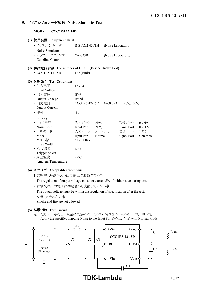# **5.** ノイズシミュレート試験 **Noise Simulate Test**

**MODEL : CCG1R5-12-15D**

| (1) 使用装置 Equipment Used                             |                              |                         |                    |        |
|-----------------------------------------------------|------------------------------|-------------------------|--------------------|--------|
| ・ ノイズシミュレーター   : INS-AX2-450TH                      |                              |                         | (Noise Laboratory) |        |
| Noise Simulator                                     |                              |                         |                    |        |
| · カップリングクランプ : CA-805B                              |                              |                         | (Noise Laboratory) |        |
| Coupling Clamp                                      |                              |                         |                    |        |
| (2) 供試電源台数 The number of D.U.T. (Device Under Test) |                              |                         |                    |        |
| $\cdot$ CCG1R5-12-15D                               | : $1 \oplus (1 \text{unit})$ |                         |                    |        |
|                                                     |                              |                         |                    |        |
| (3) 試験条件 Test Conditions                            |                              |                         |                    |        |
| ・入力電圧                                               | : 12VDC                      |                         |                    |        |
| Input Voltage                                       |                              |                         |                    |        |
| ・出力電圧                                               | : 定格                         |                         |                    |        |
| Output Voltage                                      | Rated                        |                         |                    |        |
| · 出力電流                                              | $\cdot$ CCG1R5-12-15D        | 0A,0.05A                | $(0\%, 100\%)$     |        |
| <b>Output Current</b>                               |                              |                         |                    |        |
| ・極性                                                 | $+$ , $-$                    |                         |                    |        |
| Polarity                                            |                              |                         |                    |        |
| ・ノイズ電圧                                              |                              | : 入力ポート 2kV、            | 信号ポート              | 0.75kV |
| Noise Level                                         | Input Port 2kV,              |                         | Signal Port 0.75kV |        |
| ・印加モード                                              |                              | : 入力ポート ノーマル、 信号ポート コモン |                    |        |
| Mode                                                | <b>Input Port</b>            | Normal,                 | <b>Signal Port</b> | Common |
| ・パルス幅                                               | : $50 \sim 1000$ ns          |                         |                    |        |
| Pulse Width                                         |                              |                         |                    |        |
| ・トリガ選択                                              | : Line                       |                         |                    |        |
| Trigger Select                                      |                              |                         |                    |        |
| · 周囲温度                                              | $: 25^{\circ}C$              |                         |                    |        |
| <b>Ambient Temperature</b>                          |                              |                         |                    |        |

# **(4)** 判定条件 **Acceptable Conditions**

1.試験中、5%を超える出力電圧の変動のない事

The regulation of output voltage must not exceed 5% of initial value during test.

2.試験後の出力電圧は初期値から変動していない事

The output voltage must be within the regulation of specification after the test.

3.発煙・発火のない事 Smoke and fire are not allowed.

# **(5)** 試験回路 **Test Circuit**

A. 入力ポート(+Vin、-Vin)に規定のインパルス・ノイズをノーマルモードで印加する Apply the specified Impulse Noise to the Input Ports(+Vin, -Vin) with Normal Mode

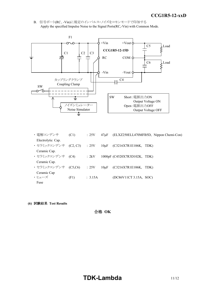*INSTRUCTION MANUAL* B. 信号ポート(RC、-Vin)に規定のインパルス・ノイズをコモンモードで印加する Apply the specified Impulse Noise to the Signal Ports(RC,-Vin) with Common Mode.



- ・ 電解コンデンサ (C1) : 25V 47μF (ELXZ250ELL470MFB5D, Nippon Chemi-Con) Electrolytic Cap. ・ セラミックコンデンサ (C2, C3) : 25V 10μF (C3216X7R1E106K, TDK) Ceramic Cap. ・ セラミックコンデンサ (C4) : 2kV 1000pF (C4520X7R3D102K, TDK) Ceramic Cap. ・ セラミックコンデンサ (C5,C6) : 25V 10μF (C3216X7R1E106K, TDK) Ceramic Cap  $\cdot$  ヒューズ (F1) : 3.15A (DC86V11CT 3.15A, SOC) Fuse
- **(6)** 試験結果 **Test Results**

合格 **OK**